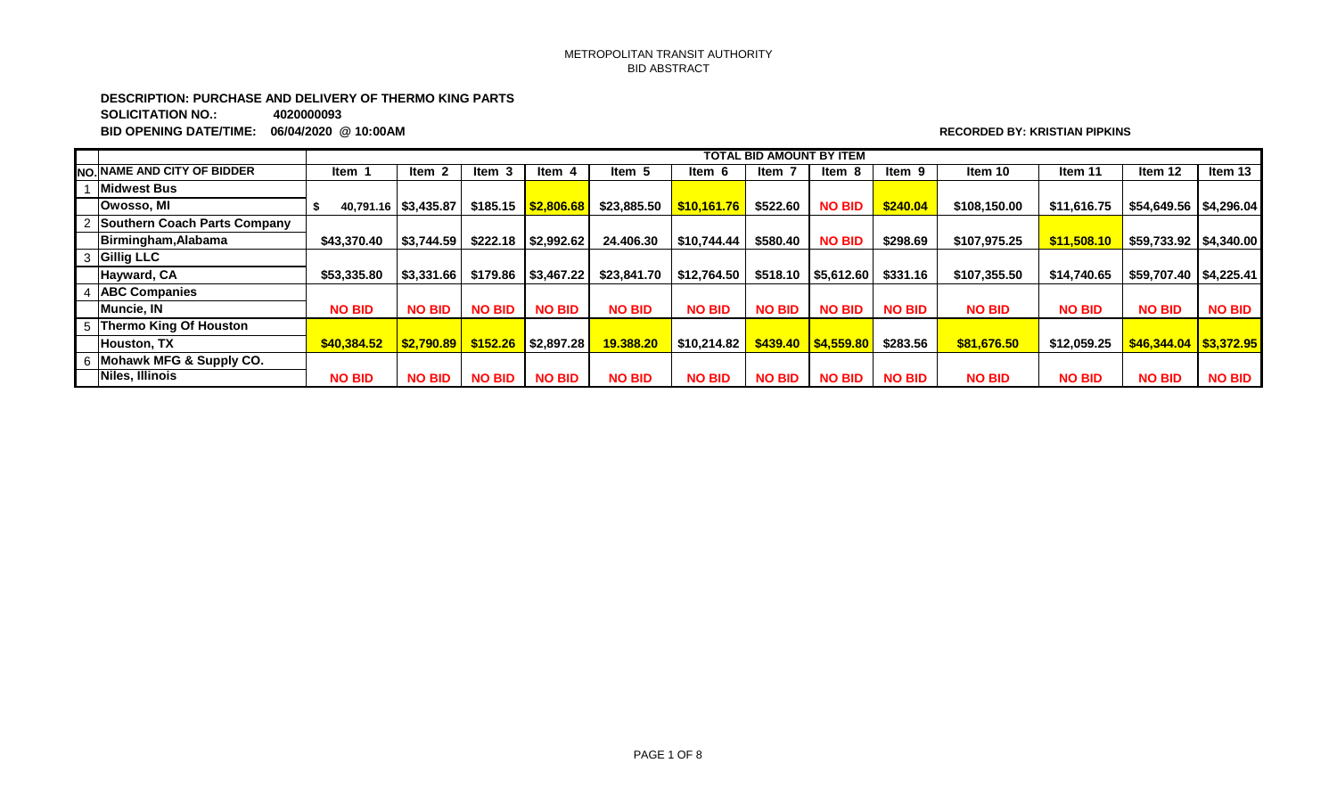## METROPOLITAN TRANSIT AUTHORITY BID ABSTRACT

**DESCRIPTION: PURCHASE AND DELIVERY OF THERMO KING PARTS**

**SOLICITATION NO.: 4020000093**

**BID OPENING DATE/TIME: 06/04/2020 @ 10:00AM RECORDED BY: KRISTIAN PIPKINS**

|                                     |               | <b>TOTAL BID AMOUNT BY ITEM</b> |               |                       |               |                           |               |                       |               |               |               |                          |               |
|-------------------------------------|---------------|---------------------------------|---------------|-----------------------|---------------|---------------------------|---------------|-----------------------|---------------|---------------|---------------|--------------------------|---------------|
| <b>INO.INAME AND CITY OF BIDDER</b> | ltem ·        | Item 2                          | ltem 3        | ltem 4                | Item 5        | ltem 6                    | Item 7        | Item 8                | Item 9        | Item 10       | Item 11       | Item 12                  | Item 13       |
| <b>Midwest Bus</b>                  |               |                                 |               |                       |               |                           |               |                       |               |               |               |                          |               |
| Owosso, MI                          |               | 40,791.16   \$3,435.87          | \$185.15      | $\frac{1}{2}$ ,806.68 | \$23,885.50   | $\frac{1}{1}$ \$10,161.76 | \$522.60      | <b>NO BID</b>         | \$240.04      | \$108,150.00  | \$11,616.75   | \$54,649.56 \$4,296.04   |               |
| Southern Coach Parts Company        |               |                                 |               |                       |               |                           |               |                       |               |               |               |                          |               |
| Birmingham, Alabama                 | \$43,370.40   | \$3,744.59                      | \$222.18      | \$2,992.62            | 24,406,30     | \$10.744.44               | \$580.40      | <b>NO BID</b>         | \$298.69      | \$107.975.25  | \$11,508.10   |                          |               |
| 3 Gillig LLC                        |               |                                 |               |                       |               |                           |               |                       |               |               |               |                          |               |
| Hayward, CA                         | \$53,335.80   | \$3,331.66                      | \$179.86      | \$3,467.22            | \$23,841.70   | $\mid$ \$12,764.50        | \$518.10      | \$5,612.60            | \$331.16      | \$107.355.50  | \$14,740.65   | $$59,707.40$ $$4,225.41$ |               |
| <b>ABC Companies</b>                |               |                                 |               |                       |               |                           |               |                       |               |               |               |                          |               |
| Muncie, IN                          | <b>NO BID</b> | <b>NO BID</b>                   | <b>NO BID</b> | <b>NO BID</b>         | <b>NO BID</b> | <b>NO BID</b>             | <b>NO BID</b> | <b>NO BID</b>         | <b>NO BID</b> | <b>NO BID</b> | <b>NO BID</b> | <b>NO BID</b>            | <b>NO BID</b> |
| 5 Thermo King Of Houston            |               |                                 |               |                       |               |                           |               |                       |               |               |               |                          |               |
| Houston, TX                         | \$40,384.52   | $ $2,790.89$ $$152.26$          |               | \$2,897.28            | 19,388.20     | \$10.214.82               |               | $$439.40$ $$4,559.80$ | \$283.56      | \$81,676.50   | \$12,059.25   | $$46,344.04$ $$3,372.95$ |               |
| 6 Mohawk MFG & Supply CO.           |               |                                 |               |                       |               |                           |               |                       |               |               |               |                          |               |
| Niles, Illinois                     | <b>NO BID</b> | <b>NO BID</b>                   | <b>NO BID</b> | <b>NO BID</b>         | <b>NO BID</b> | <b>NO BID</b>             | <b>NO BID</b> | <b>NO BID</b>         | <b>NO BID</b> | <b>NO BID</b> | <b>NO BID</b> | <b>NO BID</b>            | <b>NO BID</b> |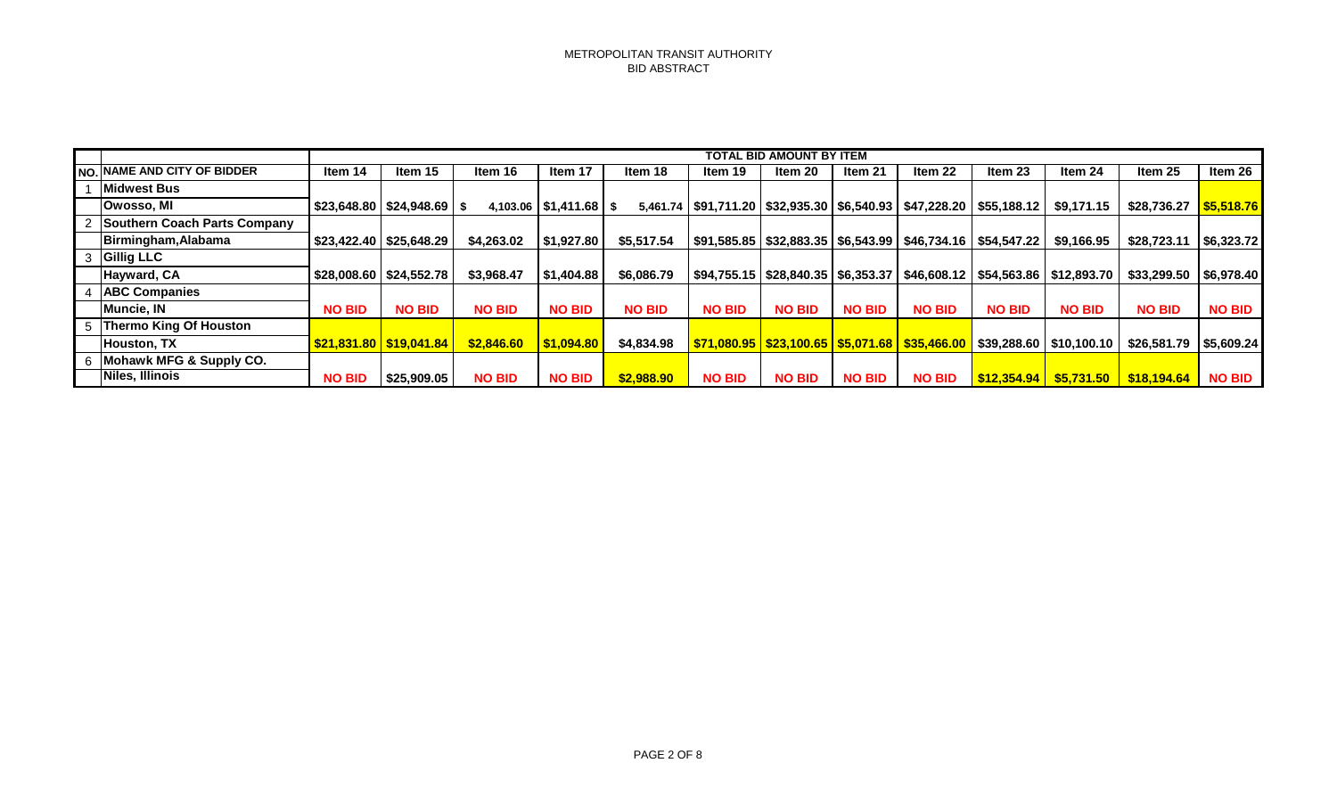|                                    |               |                                |               |                                      |               |               | TOTAL BID AMOUNT BY ITEM |               |                                                                               |               |               |                                                                                                                            |                       |
|------------------------------------|---------------|--------------------------------|---------------|--------------------------------------|---------------|---------------|--------------------------|---------------|-------------------------------------------------------------------------------|---------------|---------------|----------------------------------------------------------------------------------------------------------------------------|-----------------------|
| <b>NO. NAME AND CITY OF BIDDER</b> | Item 14       | Item 15                        | Item 16       | Item 17                              | Item 18       | Item 19       | Item 20                  | Item 21       | Item 22                                                                       | Item 23       | Item 24       | Item 25                                                                                                                    | Item 26               |
| <b>Midwest Bus</b>                 |               |                                |               |                                      |               |               |                          |               |                                                                               |               |               |                                                                                                                            |                       |
| Owosso, MI                         |               | $$23,648.80$ $$24,948.69$ \ \$ |               | 4,103.06 $\mid$ \$1,411.68 $\mid$ \$ |               |               |                          |               | 5,461.74   \$91,711.20   \$32,935.30   \$6,540.93   \$47,228.20   \$55,188.12 |               | \$9,171.15    | \$28,736.27                                                                                                                | $\frac{55,518.76}{5}$ |
| Southern Coach Parts Company       |               |                                |               |                                      |               |               |                          |               |                                                                               |               |               |                                                                                                                            |                       |
| Birmingham, Alabama                |               | $$23,422.40$ $$25,648.29$      | \$4,263,02    | \$1,927.80                           | \$5,517.54    |               |                          |               | \$91,585.85   \$32,883.35   \$6,543.99   \$46,734.16   \$54,547.22            |               | \$9,166.95    | \$28,723.1                                                                                                                 | \$6,323.72            |
| <b>Gillig LLC</b>                  |               |                                |               |                                      |               |               |                          |               |                                                                               |               |               |                                                                                                                            |                       |
| Hayward, CA                        |               | $$28,008.60$   \$24,552.78     | \$3,968.47    | \$1,404.88                           | \$6,086.79    |               |                          |               |                                                                               |               |               | \$94,755.15   \$28,840.35   \$6,353.37   \$46,608.12   \$54,563.86   \$12,893.70    \$33,299.50     \$6,978.40             |                       |
| <b>ABC Companies</b>               |               |                                |               |                                      |               |               |                          |               |                                                                               |               |               |                                                                                                                            |                       |
| Muncie, IN                         | <b>NO BID</b> | <b>NO BID</b>                  | <b>NO BID</b> | <b>NO BID</b>                        | <b>NO BID</b> | <b>NO BID</b> | <b>NO BID</b>            | <b>NO BID</b> | <b>NO BID</b>                                                                 | <b>NO BID</b> | <b>NO BID</b> | <b>NO BID</b>                                                                                                              | <b>NO BID</b>         |
| 5 Thermo King Of Houston           |               |                                |               |                                      |               |               |                          |               |                                                                               |               |               |                                                                                                                            |                       |
| Houston, TX                        |               | $S$ 21,831.80 $S$ 19,041.84    | \$2,846.60    | \$1,094.80                           | \$4,834.98    |               |                          |               |                                                                               |               |               | <mark>_\$71,080.95  _\$23,100.65  _\$5,071.68  _\$35,466.00  </mark> _\$39,288.60  _\$10,100.10  _\$26,581.79  _\$5,609.24 |                       |
| Mohawk MFG & Supply CO.            |               |                                |               |                                      |               |               |                          |               |                                                                               |               |               |                                                                                                                            |                       |
| Niles, Illinois                    | <b>NO BID</b> | \$25,909.05                    | <b>NO BID</b> | <b>NO BID</b>                        | \$2,988.90    | <b>NO BID</b> | <b>NO BID</b>            | <b>NO BID</b> | <b>NO BID</b>                                                                 |               |               | $\frac{1612,354.94}{161,354.94}$ \$5,731.50 \$18,194.64 NO BID                                                             |                       |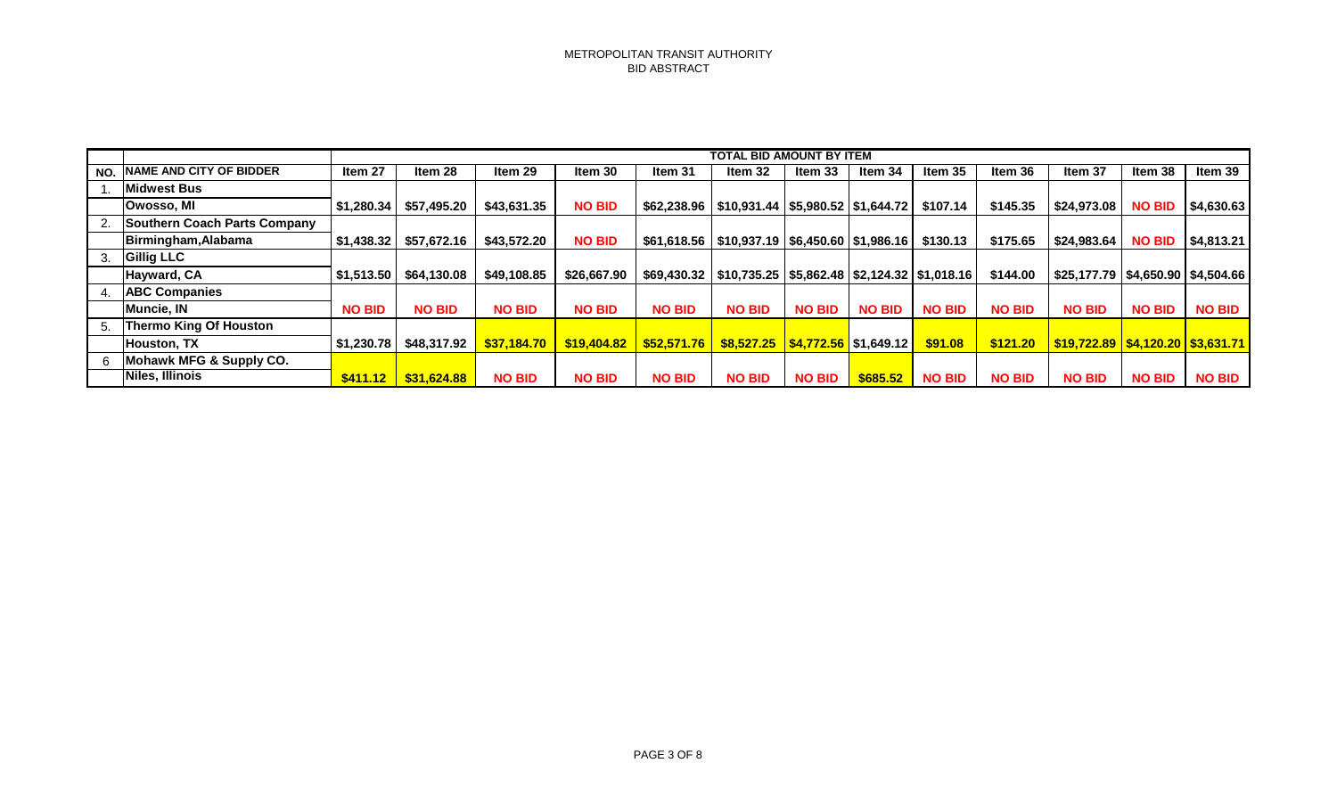|     |                                     |               | <b>TOTAL BID AMOUNT BY ITEM</b> |               |               |                                                                  |                                                                 |               |               |               |               |                                                  |               |               |
|-----|-------------------------------------|---------------|---------------------------------|---------------|---------------|------------------------------------------------------------------|-----------------------------------------------------------------|---------------|---------------|---------------|---------------|--------------------------------------------------|---------------|---------------|
| NO. | <b>INAME AND CITY OF BIDDER</b>     | Item 27       | Item 28                         | Item 29       | Item 30       | Item 31                                                          | Item 32                                                         | ltem 33       | Item 34       | Item 35       | Item 36       | Item 37                                          | Item 38       | Item 39       |
|     | Midwest Bus                         |               |                                 |               |               |                                                                  |                                                                 |               |               |               |               |                                                  |               |               |
|     | <b>Owosso, MI</b>                   | \$1,280.34    | \$57,495.20                     | \$43,631.35   | <b>NO BID</b> | \$62,238.96   \$10,931.44   \$5,980.52   \$1,644.72              |                                                                 |               |               | \$107.14      | \$145.35      | \$24,973.08                                      | <b>NO BID</b> | \$4,630.63    |
|     | <b>Southern Coach Parts Company</b> |               |                                 |               |               |                                                                  |                                                                 |               |               |               |               |                                                  |               |               |
|     | Birmingham, Alabama                 | \$1,438.32    | \$57,672.16                     | \$43,572.20   | <b>NO BID</b> | $$61,618.56$   \$10,937.19   \$6,450.60   \$1,986.16             |                                                                 |               |               | \$130.13      | \$175.65      | \$24,983.64                                      | <b>NO BID</b> | \$4,813.21    |
|     | <b>Gillig LLC</b>                   |               |                                 |               |               |                                                                  |                                                                 |               |               |               |               |                                                  |               |               |
|     | Hayward, CA                         | \$1,513.50    | \$64,130.08                     | \$49,108.85   | \$26,667.90   | \$69,430.32   \$10,735.25   \$5,862.48   \$2,124.32   \$1,018.16 |                                                                 |               |               |               | \$144.00      | \$25,177.79   \$4,650.90   \$4,504.66            |               |               |
|     | <b>ABC Companies</b>                |               |                                 |               |               |                                                                  |                                                                 |               |               |               |               |                                                  |               |               |
|     | Muncie, IN                          | <b>NO BID</b> | <b>NO BID</b>                   | <b>NO BID</b> | <b>NO BID</b> | <b>NO BID</b>                                                    | <b>NO BID</b>                                                   | <b>NO BID</b> | <b>NO BID</b> | <b>NO BID</b> | <b>NO BID</b> | <b>NO BID</b>                                    | <b>NO BID</b> | <b>NO BID</b> |
|     | Thermo King Of Houston              |               |                                 |               |               |                                                                  |                                                                 |               |               |               |               |                                                  |               |               |
|     | <b>IHouston. TX</b>                 | \$1,230.78    | \$48,317.92                     | \$37,184.70   |               | <u> \$19,404.82   \$52,571.76  </u>                              | <mark>\$8,527.25  \$4,772.56  </mark> \$1,649.12 <mark> </mark> |               |               | \$91.08       | \$121.20      | <u>  \$19,722.89   \$4,120.20   \$3,631.71  </u> |               |               |
|     | Mohawk MFG & Supply CO.             |               |                                 |               |               |                                                                  |                                                                 |               |               |               |               |                                                  |               |               |
|     | Niles, Illinois                     | \$411.12      | \$31,624.88                     | <b>NO BID</b> | <b>NO BID</b> | <b>NO BID</b>                                                    | <b>NO BID</b>                                                   | <b>NO BID</b> | $$685.52$     | <b>NO BID</b> | <b>NO BID</b> | <b>NO BID</b>                                    | <b>NO BID</b> | <b>NO BID</b> |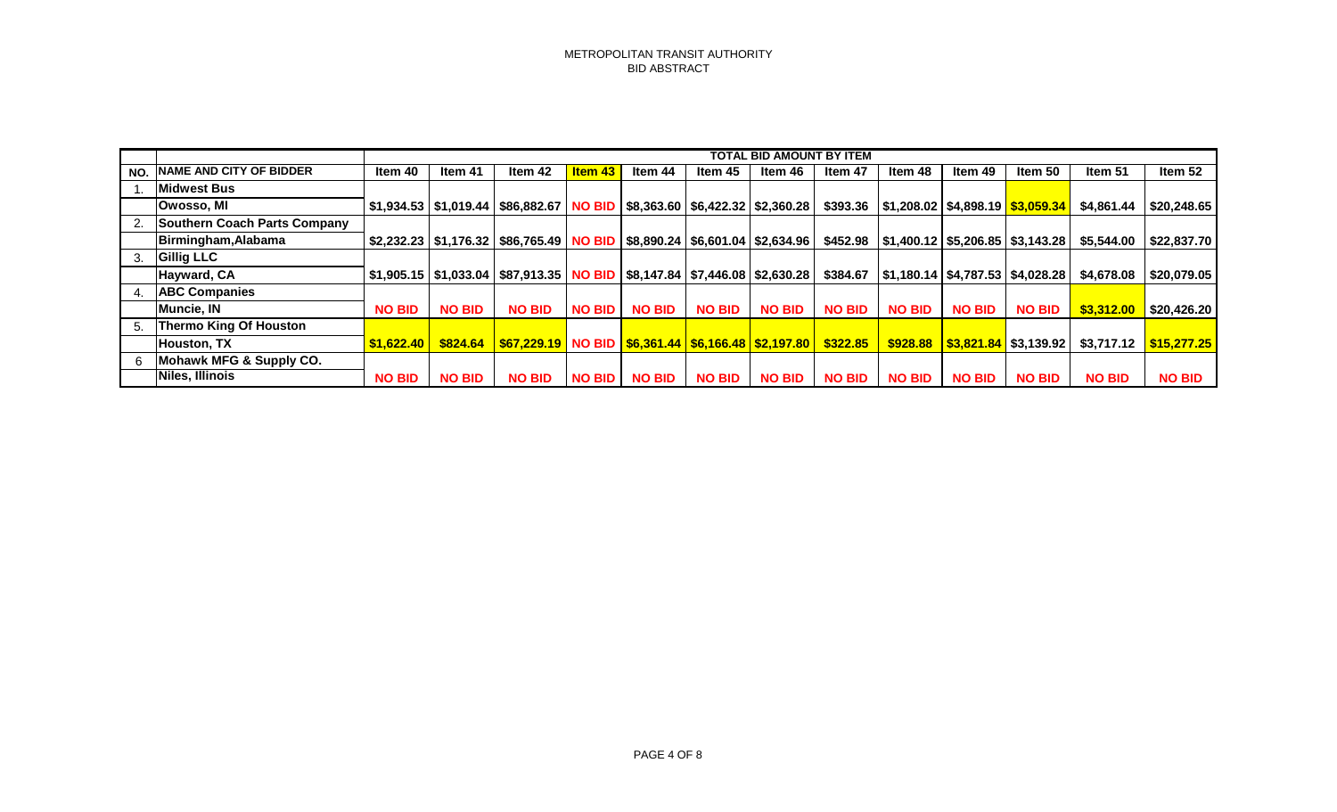|     |                                     |               |               |                                                                                                                            |                |               |               | TOTAL BID AMOUNT BY ITEM |               |                                                  |               |                              |               |               |
|-----|-------------------------------------|---------------|---------------|----------------------------------------------------------------------------------------------------------------------------|----------------|---------------|---------------|--------------------------|---------------|--------------------------------------------------|---------------|------------------------------|---------------|---------------|
| NO. | <b>NAME AND CITY OF BIDDER</b>      | Item 40       | Item 41       | Item 42                                                                                                                    | <b>Item 43</b> | ltem 44       | ltem 45       | ltem 46                  | Item 47       | Item 48                                          | Item 49       | ltem 50                      | Item 51       | Item 52       |
|     | <b>Midwest Bus</b>                  |               |               |                                                                                                                            |                |               |               |                          |               |                                                  |               |                              |               |               |
|     | Owosso, MI                          |               |               | $\mid$ \$1,934.53 $\mid$ \$1,019.44 $\mid$ \$86,882.67 $\mid$ NO BID $\mid$ \$8,363.60 $\mid$ \$6,422.32 $\mid$ \$2,360.28 |                |               |               |                          |               | $$393.36$   \$1,208.02   \$4,898.19   \$3,059.34 |               |                              | \$4,861.44    | \$20,248.65   |
|     | <b>Southern Coach Parts Company</b> |               |               |                                                                                                                            |                |               |               |                          |               |                                                  |               |                              |               |               |
|     | Birmingham, Alabama                 |               |               | $$2,232.23$ $$1,176.32$ $$86,765.49$ NO BID $$8,890.24$ $$6,601.04$ $$2,634.96$                                            |                |               |               |                          |               | $$452.98$   \$1,400.12   \$5,206.85   \$3,143.28 |               |                              | \$5,544.00    | \$22,837.70   |
| 3.  | <b>Gillig LLC</b>                   |               |               |                                                                                                                            |                |               |               |                          |               |                                                  |               |                              |               |               |
|     | Hayward, CA                         |               |               | $$1,905.15$ $$1,033.04$ $$87,913.35$ NO BID $$8,147.84$ $$7,446.08$ $$2,630.28$                                            |                |               |               |                          | \$384.67      | $\vert$ \$1,180.14   \$4,787.53   \$4,028.28     |               |                              | \$4,678.08    | \$20,079.05   |
|     | <b>ABC Companies</b>                |               |               |                                                                                                                            |                |               |               |                          |               |                                                  |               |                              |               |               |
|     | Muncie, IN                          | <b>NO BID</b> | <b>NO BID</b> | <b>NO BID</b>                                                                                                              | <b>NO BID</b>  | <b>NO BID</b> | <b>NO BID</b> | <b>NO BID</b>            | <b>NO BID</b> | <b>NO BID</b>                                    | <b>NO BID</b> | <b>NO BID</b>                | \$3,312.00    | \$20,426.20   |
| 5.  | <b>Thermo King Of Houston</b>       |               |               |                                                                                                                            |                |               |               |                          |               |                                                  |               |                              |               |               |
|     | Houston, TX                         |               |               | $$1,622.40$ $$824.64$ $$67,229.19$ NO BID $$6,361.44$ $$6,166.48$ $$2,197.80$ $$322.85$                                    |                |               |               |                          |               | $$928.88$                                        |               | $ $3,821.84$ $$3,139.92$ $ $ | \$3,717.12    | \$15,277.25   |
|     | Mohawk MFG & Supply CO.             |               |               |                                                                                                                            |                |               |               |                          |               |                                                  |               |                              |               |               |
|     | Niles, Illinois                     | <b>NO BID</b> | <b>NO BID</b> | <b>NO BID</b>                                                                                                              | <b>NO BID</b>  | <b>NO BID</b> | <b>NO BID</b> | <b>NO BID</b>            | <b>NO BID</b> | <b>NO BID</b>                                    | <b>NO BID</b> | <b>NO BID</b>                | <b>NO BID</b> | <b>NO BID</b> |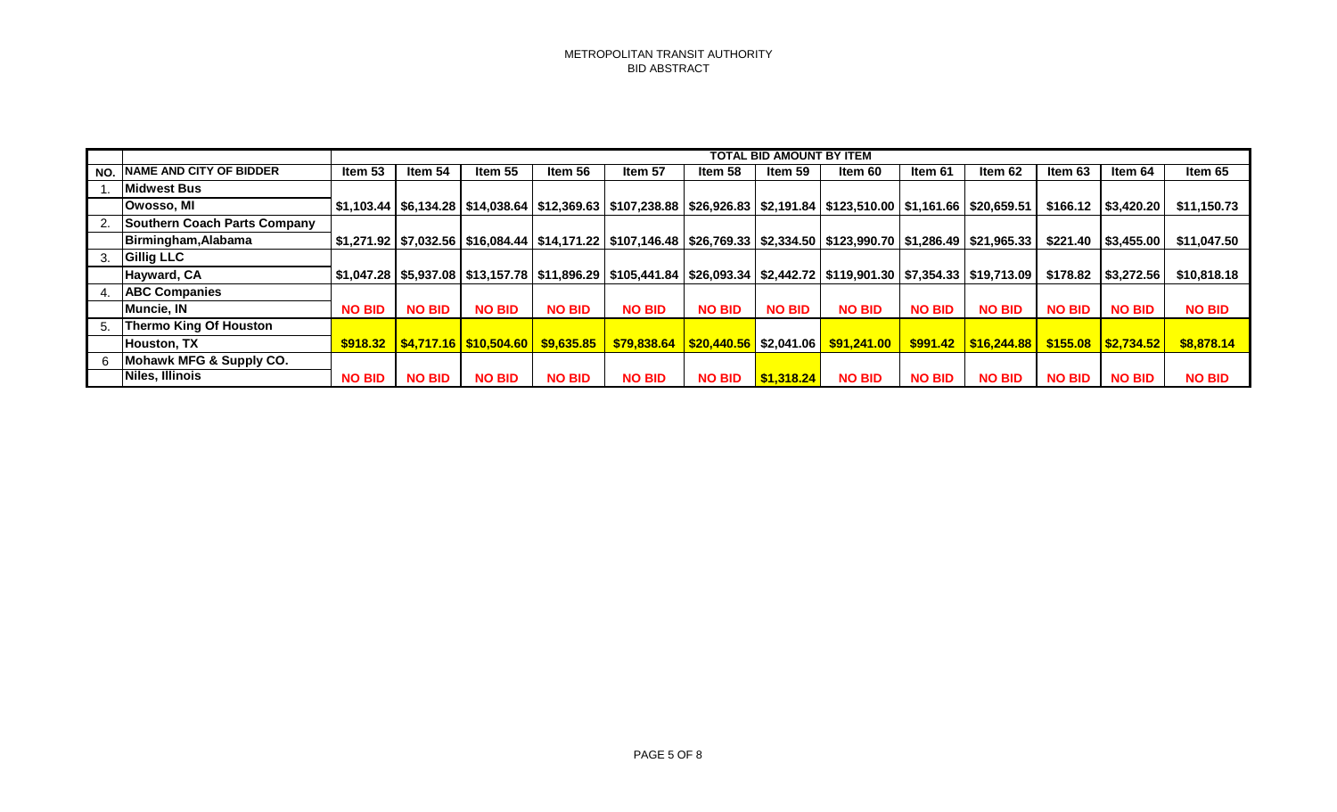|     |                                     |               | <b>TOTAL BID AMOUNT BY ITEM</b> |               |               |                                                             |               |               |                                                                                                                                         |               |               |               |                           |               |
|-----|-------------------------------------|---------------|---------------------------------|---------------|---------------|-------------------------------------------------------------|---------------|---------------|-----------------------------------------------------------------------------------------------------------------------------------------|---------------|---------------|---------------|---------------------------|---------------|
| NO. | <b>NAME AND CITY OF BIDDER</b>      | Item 53       | Item 54                         | Item 55       | Item 56       | Item 57                                                     | Item 58       | Item 59       | ltem 60                                                                                                                                 | Item 61       | Item 62       | Item 63       | Item 64                   | Item 65       |
|     | <b>IMidwest Bus</b>                 |               |                                 |               |               |                                                             |               |               |                                                                                                                                         |               |               |               |                           |               |
|     | Owosso, MI                          |               |                                 |               |               |                                                             |               |               | │\$1,103.44│\$6,134.28│\$14,038.64│\$12,369.63│\$107,238.88│\$26,926.83│\$2,191.84│\$123,510.00│\$1,161.66│\$20,659.51│                 |               |               |               | $$166.12$ $$3,420.20$     | \$11,150.73   |
|     | <b>Southern Coach Parts Company</b> |               |                                 |               |               |                                                             |               |               |                                                                                                                                         |               |               |               |                           |               |
|     | Birmingham, Alabama                 |               |                                 |               |               |                                                             |               |               | \$1,271.92   \$7,032.56   \$16,084.44   \$14,171.22   \$107,146.48   \$26,769.33   \$2,334.50   \$123,990.70   \$1,286.49   \$21,965.33 |               |               |               | $$221.40$   \$3,455.00    | \$11,047.50   |
| 3.  | <b>Gillig LLC</b>                   |               |                                 |               |               |                                                             |               |               |                                                                                                                                         |               |               |               |                           |               |
|     | Hayward, CA                         |               |                                 |               |               |                                                             |               |               | \$1,047.28   \$5,937.08   \$13,157.78   \$11,896.29   \$105,441.84   \$26,093.34   \$2,442.72   \$119,901.30   \$7,354.33   \$19,713.09 |               |               |               | $$178.82$ $$3,272.56$     | \$10,818.18   |
|     | <b>ABC Companies</b>                |               |                                 |               |               |                                                             |               |               |                                                                                                                                         |               |               |               |                           |               |
|     | Muncie, IN                          | <b>NO BID</b> | <b>NO BID</b>                   | <b>NO BID</b> | <b>NO BID</b> | <b>NO BID</b>                                               | <b>NO BID</b> | <b>NO BID</b> | <b>NO BID</b>                                                                                                                           | <b>NO BID</b> | <b>NO BID</b> | <b>NO BID</b> | <b>NO BID</b>             | <b>NO BID</b> |
| 5.  | Thermo King Of Houston              |               |                                 |               |               |                                                             |               |               |                                                                                                                                         |               |               |               |                           |               |
|     | <b>Houston, TX</b>                  |               |                                 |               |               | $$918.32$ $$4,717.16$ $$10,504.60$ $$9,635.85$ $$79,838.64$ |               |               | <mark>  \$20,440.56  </mark> \$2,041.06 <mark>  \$91,241.00    \$991.42</mark>                                                          |               | \$16,244.88   |               | $\frac{1515.08}{2734.52}$ | \$8,878.14    |
|     | Mohawk MFG & Supply CO.             |               |                                 |               |               |                                                             |               |               |                                                                                                                                         |               |               |               |                           |               |
|     | Niles, Illinois                     | <b>NO BID</b> | <b>NO BID</b>                   | <b>NO BID</b> | <b>NO BID</b> | <b>NO BID</b>                                               | <b>NO BID</b> | \$1,318.24    | <b>NO BID</b>                                                                                                                           | <b>NO BID</b> | <b>NO BID</b> | <b>NO BID</b> | <b>NO BID</b>             | <b>NO BID</b> |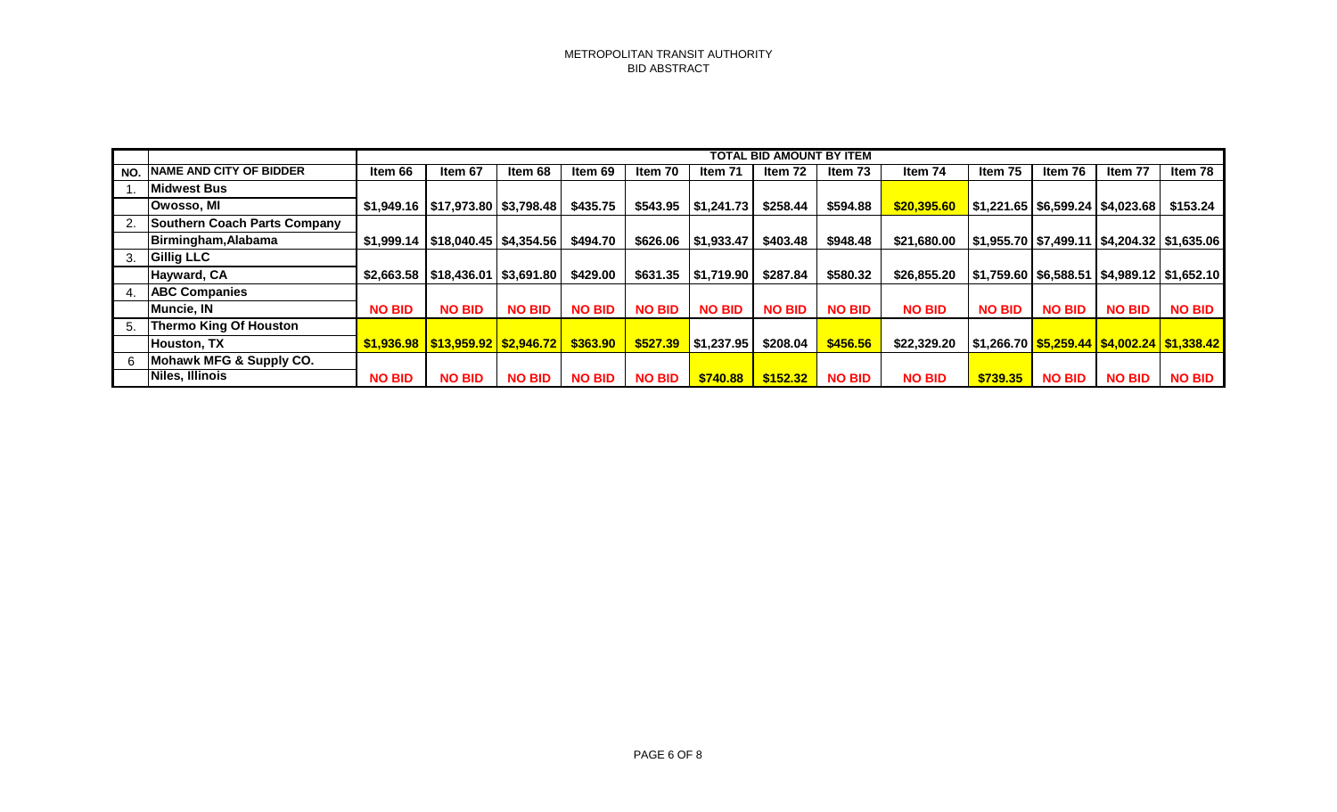|     |                                     |               | <b>TOTAL BID AMOUNT BY ITEM</b>                 |               |               |               |                        |               |               |               |                                      |               |                                                   |               |  |
|-----|-------------------------------------|---------------|-------------------------------------------------|---------------|---------------|---------------|------------------------|---------------|---------------|---------------|--------------------------------------|---------------|---------------------------------------------------|---------------|--|
| NO. | <b>NAME AND CITY OF BIDDER</b>      | Item 66       | Item 67                                         | Item 68       | Item 69       | Item 70       | Item 71                | Item 72       | Item 73       | Item 74       | Item 75                              | Item 76       | Item 77                                           | Item 78       |  |
|     | Midwest Bus                         |               |                                                 |               |               |               |                        |               |               |               |                                      |               |                                                   |               |  |
|     | Owosso, MI                          |               |                                                 |               | \$435.75      |               | $$543.95$   \$1,241.73 | \$258.44      | \$594.88      | \$20,395.60   | \$1,221.65   \$6,599.24   \$4,023.68 |               |                                                   | \$153.24      |  |
|     | <b>Southern Coach Parts Company</b> |               |                                                 |               |               |               |                        |               |               |               |                                      |               |                                                   |               |  |
|     | Birmingham, Alabama                 |               | \$1,999.14   \$18,040.45   \$4,354.56           |               | \$494.70      |               | $$626.06$   \$1,933.47 | \$403.48      | \$948.48      | \$21,680.00   |                                      |               | \$1,955.70   \$7,499.11   \$4,204.32   \$1,635.06 |               |  |
|     | <b>Gillig LLC</b>                   |               |                                                 |               |               |               |                        |               |               |               |                                      |               |                                                   |               |  |
|     | Hayward, CA                         |               | $$2,663.58$   \$18,436.01   \$3,691.80          |               | \$429.00      | \$631.35      | \$1,719.90             | \$287.84      | \$580.32      | \$26,855.20   |                                      |               | \$1,759.60   \$6,588.51   \$4,989.12   \$1,652.10 |               |  |
|     | <b>ABC Companies</b>                |               |                                                 |               |               |               |                        |               |               |               |                                      |               |                                                   |               |  |
|     | Muncie, IN                          | <b>NO BID</b> | <b>NO BID</b>                                   | <b>NO BID</b> | <b>NO BID</b> | <b>NO BID</b> | <b>NO BID</b>          | <b>NO BID</b> | <b>NO BID</b> | <b>NO BID</b> | <b>NO BID</b>                        | <b>NO BID</b> | <b>NO BID</b>                                     | <b>NO BID</b> |  |
| 5.  | <b>Thermo King Of Houston</b>       |               |                                                 |               |               |               |                        |               |               |               |                                      |               |                                                   |               |  |
|     | Houston, TX                         |               | <u> \$1,936.98   \$13,959.92   \$2,946.72  </u> |               | \$363.90      | \$527.39      | $\vert$ \$1,237.95     | \$208.04      | \$456.56      | \$22,329.20   |                                      |               |                                                   |               |  |
|     | Mohawk MFG & Supply CO.             |               |                                                 |               |               |               |                        |               |               |               |                                      |               |                                                   |               |  |
|     | Niles, Illinois                     | <b>NO BID</b> | <b>NO BID</b>                                   | <b>NO BID</b> | <b>NO BID</b> | <b>NO BID</b> | \$740.88               | \$152.32      | <b>NO BID</b> | <b>NO BID</b> | \$739.35                             | <b>NO BID</b> | <b>NO BID</b>                                     | <b>NO BID</b> |  |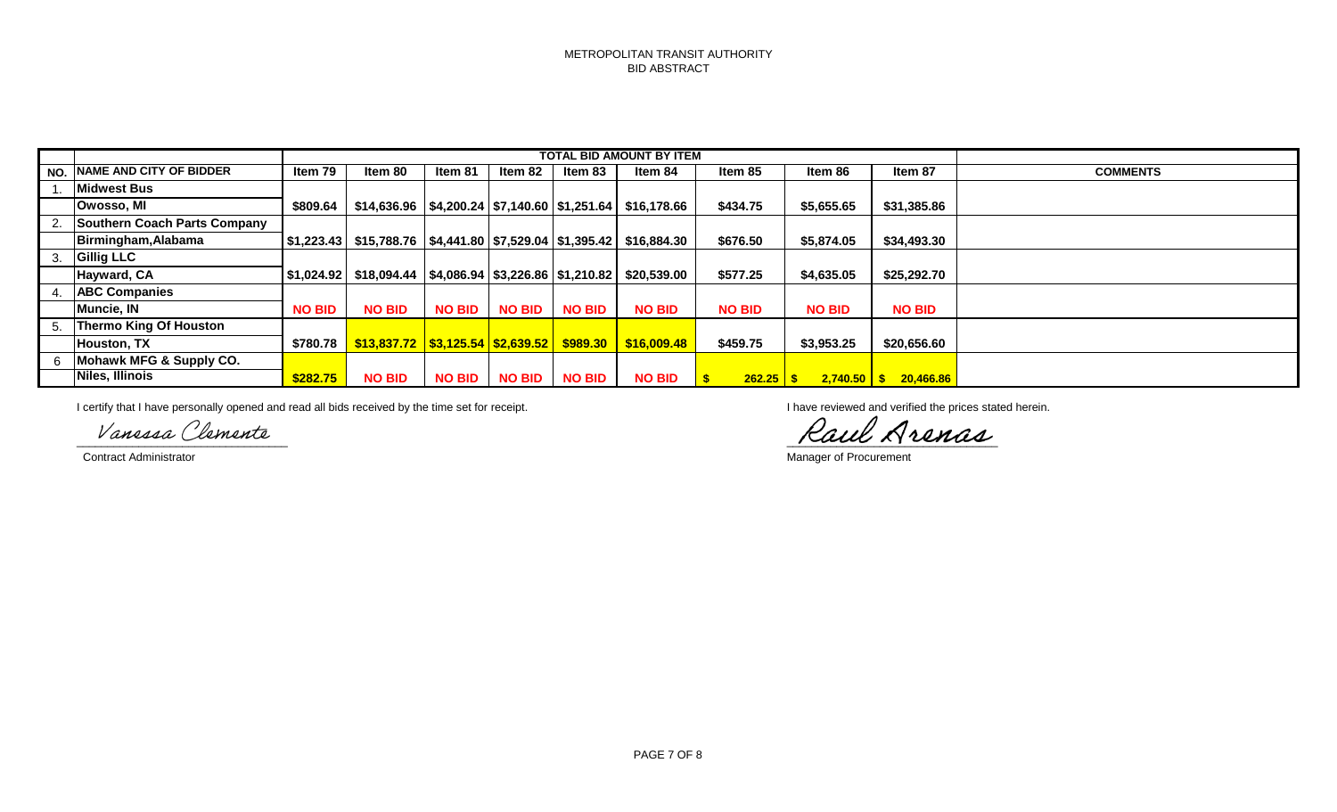|     |                                     |               |                                                     |               |               |               | <b>TOTAL BID AMOUNT BY ITEM</b>                                   |                     |               |                         |                 |
|-----|-------------------------------------|---------------|-----------------------------------------------------|---------------|---------------|---------------|-------------------------------------------------------------------|---------------------|---------------|-------------------------|-----------------|
| NO. | <b>NAME AND CITY OF BIDDER</b>      | Item 79       | Item 80                                             | Item 81       | Item 82       | Item 83       | Item 84                                                           | Item 85             | Item 86       | Item 87                 | <b>COMMENTS</b> |
|     | <b>Midwest Bus</b>                  |               |                                                     |               |               |               |                                                                   |                     |               |                         |                 |
|     | Owosso, MI                          | \$809.64      |                                                     |               |               |               | $$14,636.96$   \$4,200.24   \$7,140.60   \$1,251.64   \$16,178.66 | \$434.75            | \$5,655.65    | \$31,385.86             |                 |
|     | <b>Southern Coach Parts Company</b> |               |                                                     |               |               |               |                                                                   |                     |               |                         |                 |
|     | Birmingham, Alabama                 | \$1.223.43    | $$15,788.76$ $$4,441.80$ $$7,529.04$ $$1,395.42$    |               |               |               | \$16.884.30                                                       | \$676.50            | \$5,874.05    | \$34,493.30             |                 |
|     | <b>Gillig LLC</b>                   |               |                                                     |               |               |               |                                                                   |                     |               |                         |                 |
|     | Hayward, CA                         | \$1,024.92    | $$18,094.44$   \$4,086.94   \$3,226.86   \$1,210.82 |               |               |               | \$20,539.00                                                       | \$577.25            | \$4,635.05    | \$25,292.70             |                 |
|     | <b>ABC Companies</b>                |               |                                                     |               |               |               |                                                                   |                     |               |                         |                 |
|     | Muncie, IN                          | <b>NO BID</b> | <b>NO BID</b>                                       | <b>NO BID</b> | <b>NO BID</b> | <b>NO BID</b> | <b>NO BID</b>                                                     | <b>NO BID</b>       | <b>NO BID</b> | <b>NO BID</b>           |                 |
|     | <b>Thermo King Of Houston</b>       |               |                                                     |               |               |               |                                                                   |                     |               |                         |                 |
|     | <b>Houston, TX</b>                  | \$780.78      | $$13,837.72$ $$3,125.54$ $$2,639.52$ $$989.30$      |               |               |               | \$16,009.48                                                       | \$459.75            | \$3,953.25    | \$20,656.60             |                 |
|     | Mohawk MFG & Supply CO.             |               |                                                     |               |               |               |                                                                   |                     |               |                         |                 |
|     | Niles, Illinois                     | \$282.75      | <b>NO BID</b>                                       |               | NO BID NO BID | <b>NO BID</b> | <b>NO BID</b>                                                     | $262.25$ $\sqrt{5}$ |               | $2,740.50$ \$ 20,466.86 |                 |

I certify that I have personally opened and read all bids received by the time set for receipt. **I have reviewed and verified the prices stated herein**.

Vanessa Clemente

**Contract Administrator** Manager of Procurement